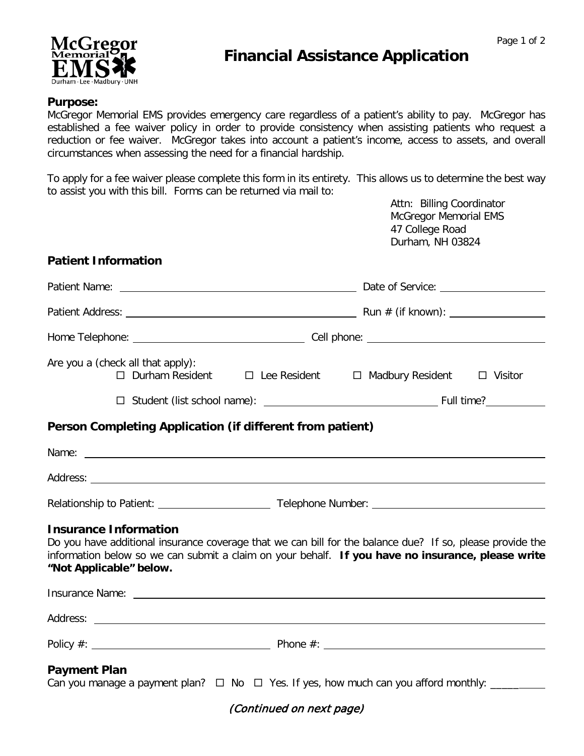

# **Financial Assistance Application**

### **Purpose:**

McGregor Memorial EMS provides emergency care regardless of a patient's ability to pay. McGregor has established a fee waiver policy in order to provide consistency when assisting patients who request a reduction or fee waiver. McGregor takes into account a patient's income, access to assets, and overall circumstances when assessing the need for a financial hardship.

To apply for a fee waiver please complete this form in its entirety. This allows us to determine the best way to assist you with this bill. Forms can be returned via mail to:

> Attn: Billing Coordinator McGregor Memorial EMS 47 College Road Durham, NH 03824

### **Patient Information**

| Are you a (check all that apply):                                                                                                                                                                                                    | □ Durham Resident □ Lee Resident □ Madbury Resident □ Visitor                                                                                                                                                  |
|--------------------------------------------------------------------------------------------------------------------------------------------------------------------------------------------------------------------------------------|----------------------------------------------------------------------------------------------------------------------------------------------------------------------------------------------------------------|
|                                                                                                                                                                                                                                      |                                                                                                                                                                                                                |
| Person Completing Application (if different from patient)                                                                                                                                                                            |                                                                                                                                                                                                                |
| Name: Name:                                                                                                                                                                                                                          |                                                                                                                                                                                                                |
|                                                                                                                                                                                                                                      |                                                                                                                                                                                                                |
|                                                                                                                                                                                                                                      |                                                                                                                                                                                                                |
| <b>Insurance Information</b><br>"Not Applicable" below.                                                                                                                                                                              | Do you have additional insurance coverage that we can bill for the balance due? If so, please provide the<br>information below so we can submit a claim on your behalf. If you have no insurance, please write |
| Insurance Name: <u>example and the second contract of the second contract of the second contract of the second contract of the second contract of the second contract of the second contract of the second contract of the secon</u> |                                                                                                                                                                                                                |
|                                                                                                                                                                                                                                      |                                                                                                                                                                                                                |
|                                                                                                                                                                                                                                      |                                                                                                                                                                                                                |
| <b>Payment Plan</b>                                                                                                                                                                                                                  |                                                                                                                                                                                                                |

## (Continued on next page)